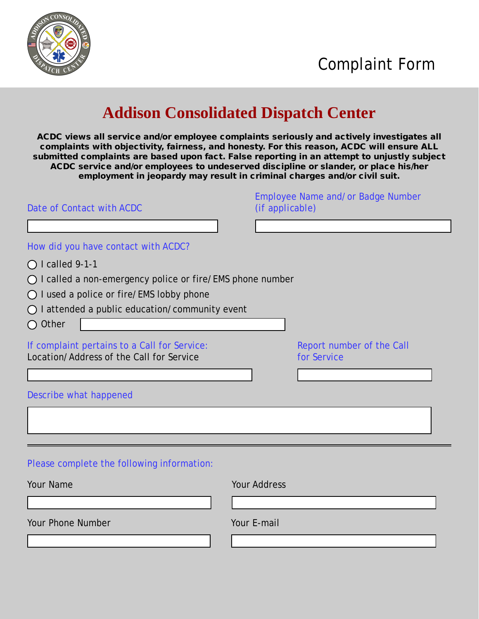

## **Addison Consolidated Dispatch Center**

ACDC views all service and/or employee complaints seriously and actively investigates all complaints with objectivity, fairness, and honesty. For this reason, ACDC will ensure ALL submitted complaints are based upon fact. False reporting in an attempt to unjustly subject ACDC service and/or employees to undeserved discipline or slander, or place his/her employment in jeopardy may result in criminal charges and/or civil suit.

| Date of Contact with ACDC                                                                                                                                                                                                                                                     | Employee Name and/or Badge Number<br>(if applicable) |
|-------------------------------------------------------------------------------------------------------------------------------------------------------------------------------------------------------------------------------------------------------------------------------|------------------------------------------------------|
| How did you have contact with ACDC?<br>$\bigcirc$ I called 9-1-1<br>$\bigcirc$ I called a non-emergency police or fire/EMS phone number<br>$\bigcirc$ I used a police or fire/EMS lobby phone<br>$\bigcirc$ I attended a public education/community event<br>$\bigcirc$ Other |                                                      |
| If complaint pertains to a Call for Service:<br>Location/Address of the Call for Service                                                                                                                                                                                      | Report number of the Call<br>for Service             |
| Describe what happened                                                                                                                                                                                                                                                        |                                                      |
| Please complete the following information:                                                                                                                                                                                                                                    |                                                      |
| Your Name<br><b>Your Phone Number</b>                                                                                                                                                                                                                                         | <b>Your Address</b><br>Your E-mail                   |
|                                                                                                                                                                                                                                                                               |                                                      |